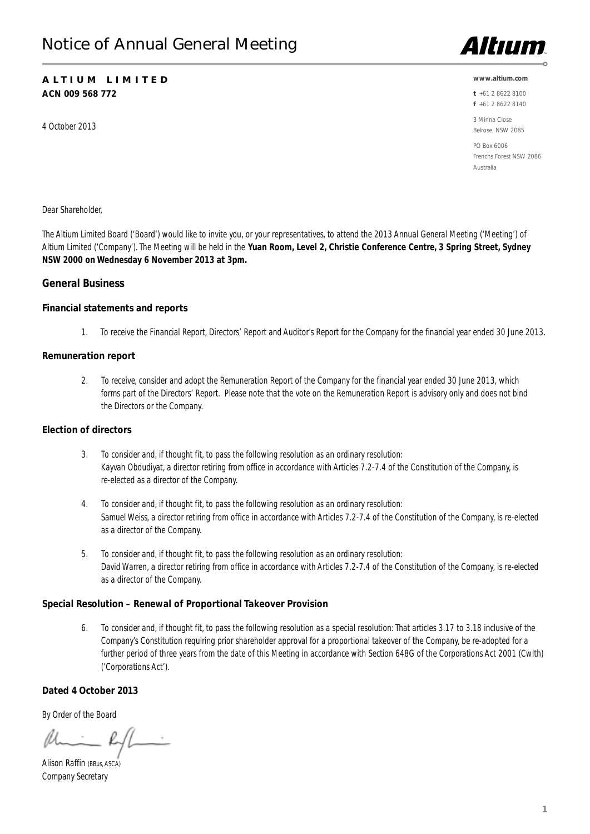# ALTIUM LIMITED **ACN 009 568 772**

4 October 2013



#### **www.altium.com**

t+61 2 8622 8100 f+61 2 8622 8140

3 Minna Close Belrose, NSW 2085

PO Box 6006 Frenchs Forest NSW 2086 Australia

Dear Shareholder,

The Altium Limited Board ('Board') would like to invite you, or your representatives, to attend the 2013 Annual General Meeting ('Meeting') of Altium Limited ('Company'). The Meeting will be held in the **Yuan Room, Level 2, Christie Conference Centre, 3 Spring Street, Sydney NSW 2000 on Wednesday 6 November 2013 at 3pm.**

# General Business

## Financial statements and reports

1.To receive the Financial Report, Directors' Report and Auditor's Report for the Company for the financial year ended 30 June 2013.

## Remuneration report

2. To receive, consider and adopt the Remuneration Report of the Company for the financial year ended 30 June 2013, which forms part of the Directors' Report. Please note that the vote on the Remuneration Report is advisory only and does not bind the Directors or the Company.

## Election of directors

- 3. To consider and, if thought fit, to pass the following resolution as an ordinary resolution: Kayvan Oboudiyat, a director retiring from office in accordance with Articles 7.2-7.4 of the Constitution of the Company, is re-elected as a director of the Company.
- 4. To consider and, if thought fit, to pass the following resolution as an ordinary resolution: Samuel Weiss, a director retiring from office in accordance with Articles 7.2-7.4 of the Constitution of the Company, is re-elected as a director of the Company.
- 5. To consider and, if thought fit, to pass the following resolution as an ordinary resolution: David Warren, a director retiring from office in accordance with Articles 7.2-7.4 of the Constitution of the Company, is re-elected as a director of the Company.

# Special Resolution – Renewal of Proportional Takeover Provision

6. To consider and, if thought fit, to pass the following resolution as a special resolution: That articles 3.17 to 3.18 inclusive of the Company's Constitution requiring prior shareholder approval for a proportional takeover of the Company, be re-adopted for a further period of three years from the date of this Meeting in accordance with Section 648G of the Corporations Act 2001 (Cwlth) ('Corporations Act').

# Dated 4 October 2013

By Order of the Board

Alison Raffin (BBus, ASCA) Company Secretary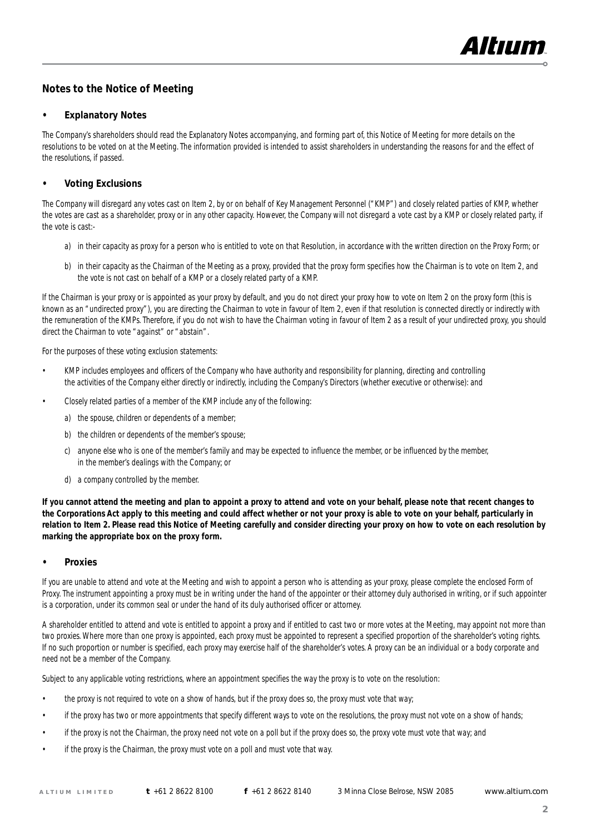

# Notes to the Notice of Meeting

## **Explanatory Notes**

The Company's shareholders should read the Explanatory Notes accompanying, and forming part of, this Notice of Meeting for more details on the resolutions to be voted on at the Meeting. The information provided is intended to assist shareholders in understanding the reasons for and the effect of the resolutions, if passed.

## • Voting Exclusions

The Company will disregard any votes cast on Item 2, by or on behalf of Key Management Personnel ("KMP") and closely related parties of KMP, whether the votes are cast as a shareholder, proxy or in any other capacity. However, the Company will not disregard a vote cast by a KMP or closely related party, if the vote is cast:-

- a) in their capacity as proxy for a person who is entitled to vote on that Resolution, in accordance with the written direction on the Proxy Form; or
- b) in their capacity as the Chairman of the Meeting as a proxy, provided that the proxy form specifies how the Chairman is to vote on Item 2, and the vote is not cast on behalf of a KMP or a closely related party of a KMP.

If the Chairman is your proxy or is appointed as your proxy by default, and you do not direct your proxy how to vote on Item 2 on the proxy form (this is known as an "undirected proxy"), you are directing the Chairman to vote in favour of Item 2, even if that resolution is connected directly or indirectly with the remuneration of the KMPs. Therefore, if you do not wish to have the Chairman voting in favour of Item 2 as a result of your undirected proxy, you should direct the Chairman to vote "against" or "abstain".

For the purposes of these voting exclusion statements:

- KMP includes employees and officers of the Company who have authority and responsibility for planning, directing and controlling the activities of the Company either directly or indirectly, including the Company's Directors (whether executive or otherwise): and
- Closely related parties of a member of the KMP include any of the following:
	- a) the spouse, children or dependents of a member;
	- b) the children or dependents of the member's spouse;
	- c) anyone else who is one of the member's family and may be expected to influence the member, or be influenced by the member, in the member's dealings with the Company; or
	- d) a company controlled by the member.

**If you cannot attend the meeting and plan to appoint a proxy to attend and vote on your behalf, please note that recent changes to the Corporations Act apply to this meeting and could affect whether or not your proxy is able to vote on your behalf, particularly in relation to Item 2. Please read this Notice of Meeting carefully and consider directing your proxy on how to vote on each resolution by marking the appropriate box on the proxy form.** 

## **Proxies**

If you are unable to attend and vote at the Meeting and wish to appoint a person who is attending as your proxy, please complete the enclosed Form of Proxy. The instrument appointing a proxy must be in writing under the hand of the appointer or their attorney duly authorised in writing, or if such appointer is a corporation, under its common seal or under the hand of its duly authorised officer or attorney.

A shareholder entitled to attend and vote is entitled to appoint a proxy and if entitled to cast two or more votes at the Meeting, may appoint not more than two proxies. Where more than one proxy is appointed, each proxy must be appointed to represent a specified proportion of the shareholder's voting rights. If no such proportion or number is specified, each proxy may exercise half of the shareholder's votes. A proxy can be an individual or a body corporate and need not be a member of the Company.

Subject to any applicable voting restrictions, where an appointment specifies the way the proxy is to vote on the resolution:

- the proxy is not required to vote on a show of hands, but if the proxy does so, the proxy must vote that way;
- if the proxy has two or more appointments that specify different ways to vote on the resolutions, the proxy must not vote on a show of hands;
- if the proxy is not the Chairman, the proxy need not vote on a poll but if the proxy does so, the proxy vote must vote that way; and
- if the proxy is the Chairman, the proxy must vote on a poll and must vote that way.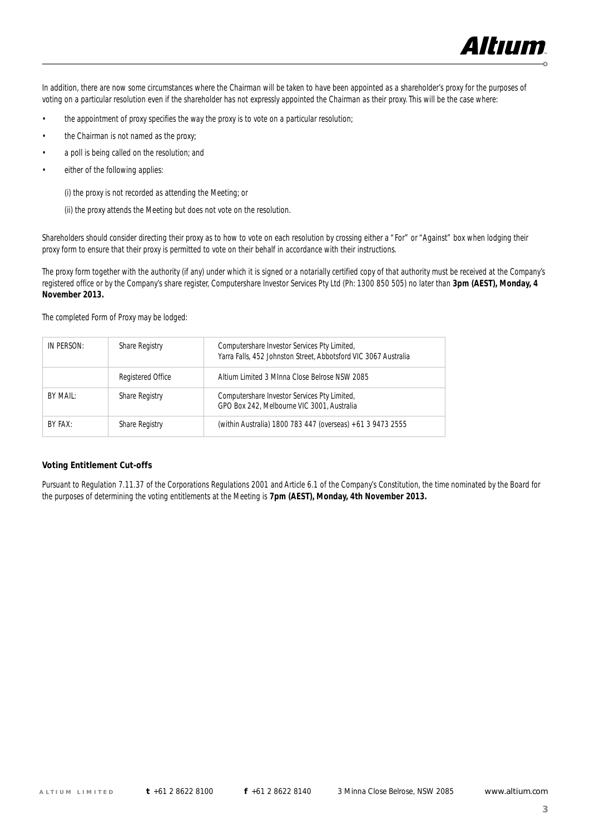

In addition, there are now some circumstances where the Chairman will be taken to have been appointed as a shareholder's proxy for the purposes of voting on a particular resolution even if the shareholder has not expressly appointed the Chairman as their proxy. This will be the case where:

- the appointment of proxy specifies the way the proxy is to vote on a particular resolution;
- the Chairman is not named as the proxy;
- a poll is being called on the resolution; and
- either of the following applies:

(i) the proxy is not recorded as attending the Meeting; or

(ii) the proxy attends the Meeting but does not vote on the resolution.

Shareholders should consider directing their proxy as to how to vote on each resolution by crossing either a "For" or "Against" box when lodging their proxy form to ensure that their proxy is permitted to vote on their behalf in accordance with their instructions.

The proxy form together with the authority (if any) under which it is signed or a notarially certified copy of that authority must be received at the Company's registered office or by the Company's share register, Computershare Investor Services Pty Ltd (Ph: 1300 850 505) no later than **3pm (AEST), Monday, 4 November 2013.** 

The completed Form of Proxy may be lodged:

| IN PERSON: | Share Registry    | Computershare Investor Services Pty Limited,<br>Yarra Falls, 452 Johnston Street, Abbotsford VIC 3067 Australia |
|------------|-------------------|-----------------------------------------------------------------------------------------------------------------|
|            | Registered Office | Altium Limited 3 MInna Close Belrose NSW 2085                                                                   |
| BY MAIL:   | Share Registry    | Computershare Investor Services Pty Limited,<br>GPO Box 242. Melbourne VIC 3001. Australia                      |
| BY FAX:    | Share Registry    | (within Australia) 1800 783 447 (overseas) +61 3 9473 2555                                                      |

#### Voting Entitlement Cut-offs

Pursuant to Regulation 7.11.37 of the Corporations Regulations 2001 and Article 6.1 of the Company's Constitution, the time nominated by the Board for the purposes of determining the voting entitlements at the Meeting is **7pm (AEST), Monday, 4th November 2013.**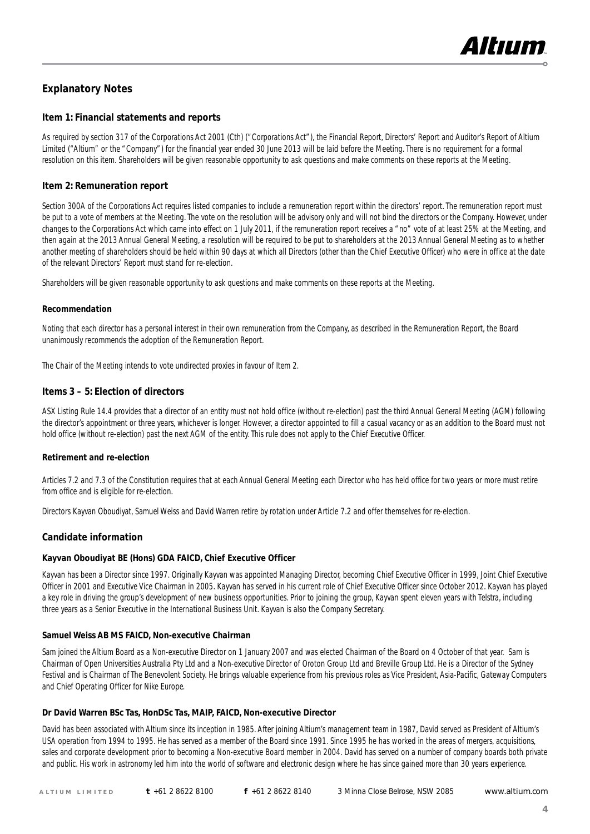

# Explanatory Notes

## Item 1: Financial statements and reports

As required by section 317 of the Corporations Act 2001 (Cth) ("Corporations Act"), the Financial Report, Directors' Report and Auditor's Report of Altium Limited ("Altium" or the "Company") for the financial year ended 30 June 2013 will be laid before the Meeting. There is no requirement for a formal resolution on this item. Shareholders will be given reasonable opportunity to ask questions and make comments on these reports at the Meeting.

## Item 2: Remuneration report

Section 300A of the Corporations Act requires listed companies to include a remuneration report within the directors' report. The remuneration report must be put to a vote of members at the Meeting. The vote on the resolution will be advisory only and will not bind the directors or the Company. However, under changes to the Corporations Act which came into effect on 1 July 2011, if the remuneration report receives a "no" vote of at least 25% at the Meeting, and then again at the 2013 Annual General Meeting, a resolution will be required to be put to shareholders at the 2013 Annual General Meeting as to whether another meeting of shareholders should be held within 90 days at which all Directors (other than the Chief Executive Officer) who were in office at the date of the relevant Directors' Report must stand for re-election.

Shareholders will be given reasonable opportunity to ask questions and make comments on these reports at the Meeting.

#### Recommendation

Noting that each director has a personal interest in their own remuneration from the Company, as described in the Remuneration Report, the Board unanimously recommends the adoption of the Remuneration Report.

The Chair of the Meeting intends to vote undirected proxies in favour of Item 2.

## Items 3 – 5: Election of directors

ASX Listing Rule 14.4 provides that a director of an entity must not hold office (without re-election) past the third Annual General Meeting (AGM) following the director's appointment or three years, whichever is longer. However, a director appointed to fill a casual vacancy or as an addition to the Board must not hold office (without re-election) past the next AGM of the entity. This rule does not apply to the Chief Executive Officer.

#### Retirement and re-election

Articles 7.2 and 7.3 of the Constitution requires that at each Annual General Meeting each Director who has held office for two years or more must retire from office and is eligible for re-election.

Directors Kayvan Oboudiyat, Samuel Weiss and David Warren retire by rotation under Article 7.2 and offer themselves for re-election.

## Candidate information

#### Kayvan Oboudiyat BE (Hons) GDA FAICD, Chief Executive Officer

Kayvan has been a Director since 1997. Originally Kayvan was appointed Managing Director, becoming Chief Executive Officer in 1999, Joint Chief Executive Officer in 2001 and Executive Vice Chairman in 2005. Kayvan has served in his current role of Chief Executive Officer since October 2012. Kayvan has played a key role in driving the group's development of new business opportunities. Prior to joining the group, Kayvan spent eleven years with Telstra, including three years as a Senior Executive in the International Business Unit. Kayvan is also the Company Secretary.

## Samuel Weiss AB MS FAICD, Non-executive Chairman

Sam joined the Altium Board as a Non-executive Director on 1 January 2007 and was elected Chairman of the Board on 4 October of that year. Sam is Chairman of Open Universities Australia Pty Ltd and a Non-executive Director of Oroton Group Ltd and Breville Group Ltd. He is a Director of the Sydney Festival and is Chairman of The Benevolent Society. He brings valuable experience from his previous roles as Vice President, Asia-Pacific, Gateway Computers and Chief Operating Officer for Nike Europe.

#### Dr David Warren BSc Tas, HonDSc Tas, MAIP, FAICD, Non-executive Director

David has been associated with Altium since its inception in 1985. After joining Altium's management team in 1987, David served as President of Altium's USA operation from 1994 to 1995. He has served as a member of the Board since 1991. Since 1995 he has worked in the areas of mergers, acquisitions, sales and corporate development prior to becoming a Non-executive Board member in 2004. David has served on a number of company boards both private and public. His work in astronomy led him into the world of software and electronic design where he has since gained more than 30 years experience.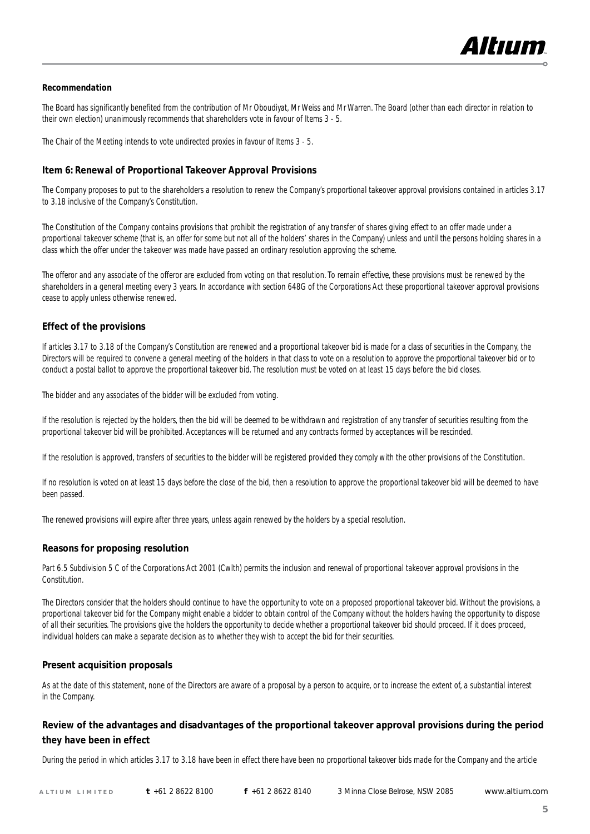

#### Recommendation

The Board has significantly benefited from the contribution of Mr Oboudiyat, Mr Weiss and Mr Warren. The Board (other than each director in relation to their own election) unanimously recommends that shareholders vote in favour of Items 3 - 5.

The Chair of the Meeting intends to vote undirected proxies in favour of Items 3 - 5.

#### Item 6: Renewal of Proportional Takeover Approval Provisions

The Company proposes to put to the shareholders a resolution to renew the Company's proportional takeover approval provisions contained in articles 3.17 to 3.18 inclusive of the Company's Constitution.

The Constitution of the Company contains provisions that prohibit the registration of any transfer of shares giving effect to an offer made under a proportional takeover scheme (that is, an offer for some but not all of the holders' shares in the Company) unless and until the persons holding shares in a class which the offer under the takeover was made have passed an ordinary resolution approving the scheme.

The offeror and any associate of the offeror are excluded from voting on that resolution. To remain effective, these provisions must be renewed by the shareholders in a general meeting every 3 years. In accordance with section 648G of the Corporations Act these proportional takeover approval provisions cease to apply unless otherwise renewed.

#### Effect of the provisions

If articles 3.17 to 3.18 of the Company's Constitution are renewed and a proportional takeover bid is made for a class of securities in the Company, the Directors will be required to convene a general meeting of the holders in that class to vote on a resolution to approve the proportional takeover bid or to conduct a postal ballot to approve the proportional takeover bid. The resolution must be voted on at least 15 days before the bid closes.

The bidder and any associates of the bidder will be excluded from voting.

If the resolution is rejected by the holders, then the bid will be deemed to be withdrawn and registration of any transfer of securities resulting from the proportional takeover bid will be prohibited. Acceptances will be returned and any contracts formed by acceptances will be rescinded.

If the resolution is approved, transfers of securities to the bidder will be registered provided they comply with the other provisions of the Constitution.

If no resolution is voted on at least 15 days before the close of the bid, then a resolution to approve the proportional takeover bid will be deemed to have been passed.

The renewed provisions will expire after three years, unless again renewed by the holders by a special resolution.

#### Reasons for proposing resolution

Part 6.5 Subdivision 5 C of the Corporations Act 2001 (Cwlth) permits the inclusion and renewal of proportional takeover approval provisions in the Constitution.

The Directors consider that the holders should continue to have the opportunity to vote on a proposed proportional takeover bid. Without the provisions, a proportional takeover bid for the Company might enable a bidder to obtain control of the Company without the holders having the opportunity to dispose of all their securities. The provisions give the holders the opportunity to decide whether a proportional takeover bid should proceed. If it does proceed, individual holders can make a separate decision as to whether they wish to accept the bid for their securities.

#### Present acquisition proposals

As at the date of this statement, none of the Directors are aware of a proposal by a person to acquire, or to increase the extent of, a substantial interest in the Company.

# Review of the advantages and disadvantages of the proportional takeover approval provisions during the period they have been in effect

During the period in which articles 3.17 to 3.18 have been in effect there have been no proportional takeover bids made for the Company and the article